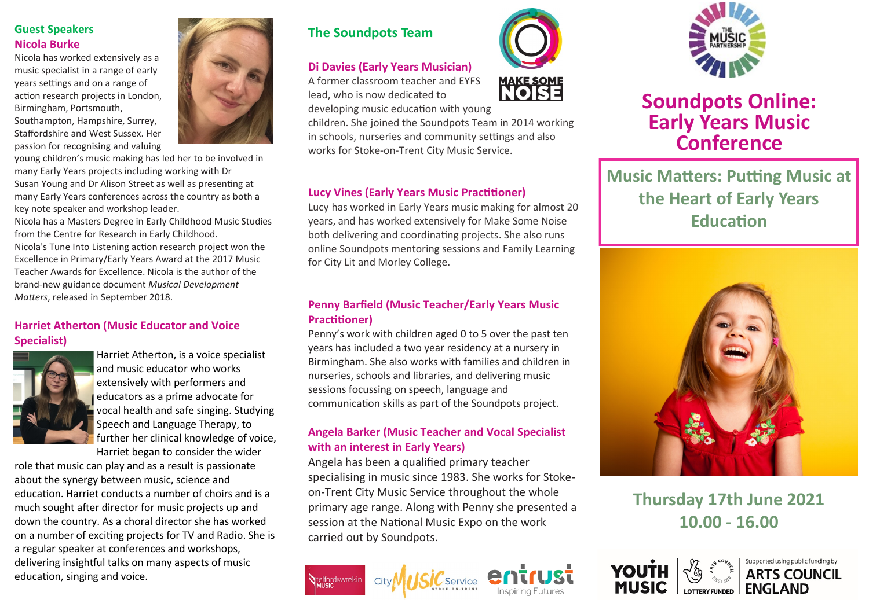# **Guest Speakers Nicola Burke**

Nicola has worked extensively as a music specialist in a range of early years settings and on a range of action research projects in London, Birmingham, Portsmouth, Southampton, Hampshire, Surrey,

Staffordshire and West Sussex. Her passion for recognising and valuing

young children's music making has led her to be involved in many Early Years projects including working with Dr Susan Young and Dr Alison Street as well as presenting at many Early Years conferences across the country as both a key note speaker and workshop leader.

Nicola has a Masters Degree in Early Childhood Music Studies from the Centre for Research in Early Childhood. Nicola's Tune Into Listening action research project won the Excellence in Primary/Early Years Award at the [2017 Music](http://www.musicanddramaeducationexpo.co.uk/london/show-news/winners-of-the-2017-music-teacher-awards-for-excellence-announced)  [Teacher Awards for Excellence.](http://www.musicanddramaeducationexpo.co.uk/london/show-news/winners-of-the-2017-music-teacher-awards-for-excellence-announced) Nicola is the author of the brand-new guidance document *Musical Development Matters*, released in September 2018.

# **Harriet Atherton (Music Educator and Voice Specialist)**



Harriet Atherton, is a voice specialist and music educator who works extensively with performers and educators as a prime advocate for vocal health and safe singing. Studying Speech and Language Therapy, to further her clinical knowledge of voice, Harriet began to consider the wider

role that music can play and as a result is passionate about the synergy between music, science and education. Harriet conducts a number of choirs and is a much sought after director for music projects up and down the country. As a choral director she has worked on a number of exciting projects for TV and Radio. She is a regular speaker at conferences and workshops, delivering insightful talks on many aspects of music education, singing and voice.



### **Di Davies (Early Years Musician)**

A former classroom teacher and EYFS lead, who is now dedicated to developing music education with young

children. She joined the Soundpots Team in 2014 working in schools, nurseries and community settings and also works for Stoke-on-Trent City Music Service.

## **Lucy Vines (Early Years Music Practitioner)**

Lucy has worked in Early Years music making for almost 20 years, and has worked extensively for Make Some Noise both delivering and coordinating projects. She also runs online Soundpots mentoring sessions and Family Learning for City Lit and Morley College.

### **Penny Barfield (Music Teacher/Early Years Music Practitioner)**

Penny's work with children aged 0 to 5 over the past ten years has included a two year residency at a nursery in Birmingham. She also works with families and children in nurseries, schools and libraries, and delivering music sessions focussing on speech, language and communication skills as part of the Soundpots project.

## **Angela Barker (Music Teacher and Vocal Specialist with an interest in Early Years)**

Angela has been a qualified primary teacher specialising in music since 1983. She works for Stokeon-Trent City Music Service throughout the whole primary age range. Along with Penny she presented a session at the National Music Expo on the work carried out by Soundpots.

 $\mathcal C$ Service







# **Soundpots Online: Early Years Music Conference**

**Music Matters: Putting Music at the Heart of Early Years Education** 



**Thursday 17th June 2021 10.00 - 16.00**